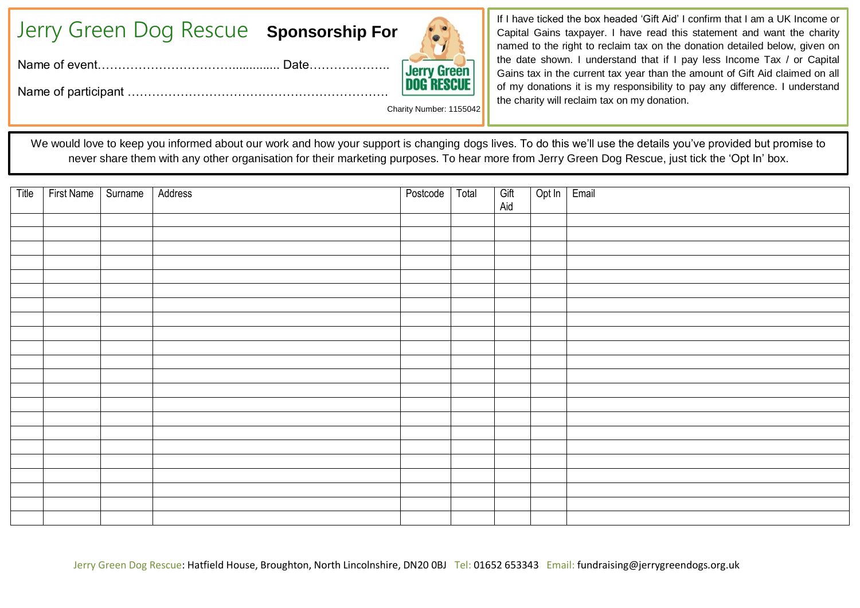| Jerry Green Dog Rescue Sponsorship For |  |  |
|----------------------------------------|--|--|
|----------------------------------------|--|--|

Name of event…………………………….............. Date………………..

Name of participant ……………………………………………………….

Charity Number: 1155042

If I have ticked the box headed 'Gift Aid' I confirm that I am a UK Income or Capital Gains taxpayer. I have read this statement and want the charity named to the right to reclaim tax on the donation detailed below, given on the date shown. I understand that if I pay less Income Tax / or Capital Gains tax in the current tax year than the amount of Gift Aid claimed on all of my donations it is my responsibility to pay any difference. I understand the charity will reclaim tax on my donation.

We would love to keep you informed about our work and how your support is changing dogs lives. To do this we'll use the details you've provided but promise to never share them with any other organisation for their marketing purposes. To hear more from Jerry Green Dog Rescue, just tick the 'Opt In' box.

| Title | First Name   Surname   Address |  | Postcode   Total | Gift<br>Aid | Opt In Email |  |
|-------|--------------------------------|--|------------------|-------------|--------------|--|
|       |                                |  |                  |             |              |  |
|       |                                |  |                  |             |              |  |
|       |                                |  |                  |             |              |  |
|       |                                |  |                  |             |              |  |
|       |                                |  |                  |             |              |  |
|       |                                |  |                  |             |              |  |
|       |                                |  |                  |             |              |  |
|       |                                |  |                  |             |              |  |
|       |                                |  |                  |             |              |  |
|       |                                |  |                  |             |              |  |
|       |                                |  |                  |             |              |  |
|       |                                |  |                  |             |              |  |
|       |                                |  |                  |             |              |  |
|       |                                |  |                  |             |              |  |
|       |                                |  |                  |             |              |  |
|       |                                |  |                  |             |              |  |
|       |                                |  |                  |             |              |  |
|       |                                |  |                  |             |              |  |
|       |                                |  |                  |             |              |  |
|       |                                |  |                  |             |              |  |
|       |                                |  |                  |             |              |  |
|       |                                |  |                  |             |              |  |